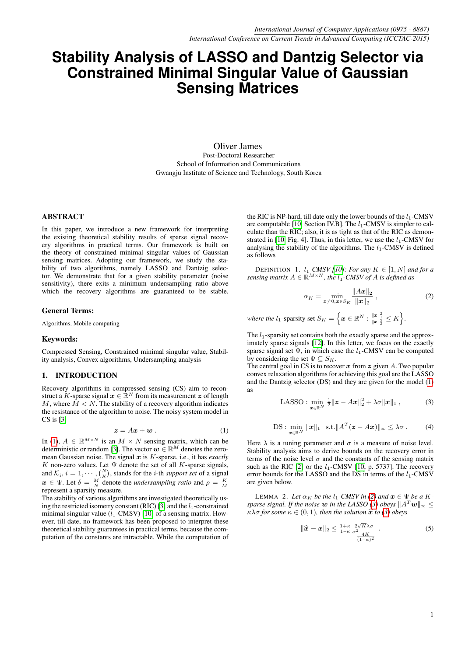# **Stability Analysis of LASSO and Dantzig Selector via Constrained Minimal Singular Value of Gaussian Sensing Matrices**

Oliver James Post-Doctoral Researcher School of Information and Communications Gwangju Institute of Science and Technology, South Korea

# ABSTRACT

In this paper, we introduce a new framework for interpreting the existing theoretical stability results of sparse signal recovery algorithms in practical terms. Our framework is built on the theory of constrained minimal singular values of Gaussian sensing matrices. Adopting our framework, we study the stability of two algorithms, namely LASSO and Dantzig selector. We demonstrate that for a given stability parameter (noise sensitivity), there exits a minimum undersampling ratio above which the recovery algorithms are guaranteed to be stable.

#### General Terms:

Algorithms, Mobile computing

### Keywords:

Compressed Sensing, Constrained minimal singular value, Stability analysis, Convex algorithms, Undersampling analysis

### 1. INTRODUCTION

Recovery algorithms in compressed sensing (CS) aim to reconstruct a K-sparse signal  $x \in \mathbb{R}^N$  from its measurement z of length  $M$ , where  $M < N$ . The stability of a recovery algorithm indicates the resistance of the algorithm to noise. The noisy system model in CS is [\[3\]](#page-3-0)

$$
z = Ax + w \tag{1}
$$

<span id="page-0-0"></span>In [\(1\)](#page-0-0),  $A \in \mathbb{R}^{M \times N}$  is an  $M \times N$  sensing matrix, which can be deterministic or random [\[3\]](#page-3-0). The vector  $\mathbf{w} \in \mathbb{R}^M$  denotes the zeromean Gaussian noise. The signal x is K-sparse, i.e., it has *exactly* K non-zero values. Let  $\Psi$  denote the set of all K-sparse signals, and  $\mathcal{K}_i$ ,  $i = 1, \dots, {N \choose K}$ , stands for the *i*-th *support set* of a signal  $x \in \Psi$ . Let  $\delta = \frac{M}{N}$  denote the *undersampling ratio* and  $\rho = \frac{K}{M}$  $\frac{w}{r} \leq \frac{1}{r}$ . Ect  $\frac{w}{r} = \frac{N}{N}$  denote

The stability of various algorithms are investigated theoretically us-ing the restricted isometry constant (RIC) [\[3\]](#page-3-0) and the  $l_1$ -constrained minimal singular value  $(l_1$ -CMSV) [\[10\]](#page-4-0) of a sensing matrix. However, till date, no framework has been proposed to interpret these theoretical stability guarantees in practical terms, because the computation of the constants are intractable. While the computation of the RIC is NP-hard, till date only the lower bounds of the  $l_1$ -CMSV are computable [\[10,](#page-4-0) Section IV.B]. The  $l_1$ -CMSV is simpler to calculate than the RIC; also, it is as tight as that of the RIC as demon-strated in [\[10,](#page-4-0) Fig. 4]. Thus, in this letter, we use the  $l_1$ -CMSV for analysing the stability of the algorithms. The  $l_1$ -CMSV is defined as follows

DEFINITION 1.  $l_1$ -CMSV [\[10\]](#page-4-0)*:* For any  $K \in [1, N]$  and for a *sensing matrix*  $A \in \mathbb{R}^{M \times N}$ *, the*  $l_1$ *-CMSV of* A *is defined as* 

<span id="page-0-1"></span>
$$
\alpha_K = \min_{\boldsymbol{x} \neq 0, \boldsymbol{x} \in S_K} \frac{\|A\boldsymbol{x}\|_2}{\|\boldsymbol{x}\|_2},\tag{2}
$$

where the  $l_1$ -sparsity set  $S_K = \Big\{\bm{x} \in \mathbb{R}^N : \frac{\|\bm{x}\|_1^2}{\|\bm{x}\|_2^2} \leq K\Big\}.$ 

The  $l_1$ -sparsity set contains both the exactly sparse and the approximately sparse signals [\[12\]](#page-4-1). In this letter, we focus on the exactly sparse signal set  $\Psi$ , in which case the  $l_1$ -CMSV can be computed by considering the set  $\Psi \subseteq S_K$ .

<span id="page-0-2"></span>The central goal in CS is to recover  $x$  from  $z$  given A. Two popular convex relaxation algorithms for achieving this goal are the LASSO and the Dantzig selector (DS) and they are given for the model [\(1\)](#page-0-0) as

LASSO: 
$$
\min_{\boldsymbol{x}\in\mathbb{R}^N} \frac{1}{2} \|\boldsymbol{z} - A\boldsymbol{x}\|_2^2 + \lambda \sigma \|\boldsymbol{x}\|_1,
$$
 (3)

<span id="page-0-3"></span>
$$
\mathrm{DS}: \min_{\boldsymbol{x}\in\mathbb{R}^N}\|\boldsymbol{x}\|_1 \quad \text{s.t.} \|\boldsymbol{A}^T(\boldsymbol{z}-A\boldsymbol{x})\|_{\infty}\leq\lambda\sigma\,. \tag{4}
$$

Here  $\lambda$  is a tuning parameter and  $\sigma$  is a measure of noise level. Stability analysis aims to derive bounds on the recovery error in terms of the noise level  $\sigma$  and the constants of the sensing matrix such as the RIC [\[2\]](#page-3-1) or the  $l_1$ -CMSV [\[10,](#page-4-0) p. 5737]. The recovery error bounds for the LASSO and the DS in terms of the  $l_1$ -CMSV are given below.

LEMMA 2. Let  $\alpha_K$  be the  $l_1$ -CMSV in [\(2\)](#page-0-1) and  $\mathbf{x} \in \Psi$  be a K*sparse signal. If the noise* w *in the LASSO [\(3\)](#page-0-2) obeys*  $||A^T w||_{\infty} \le$  $\kappa \lambda \sigma$  *for some*  $\kappa \in (0, 1)$ *, then the solution*  $\hat{x}$  *to [\(3\)](#page-0-2) obeys* 

<span id="page-0-4"></span>
$$
\|\widehat{\mathbf{x}} - \mathbf{x}\|_2 \le \frac{1+\kappa}{1-\kappa} \frac{2\sqrt{K}\lambda\sigma}{\alpha^2} \frac{4K}{4K} \qquad (5)
$$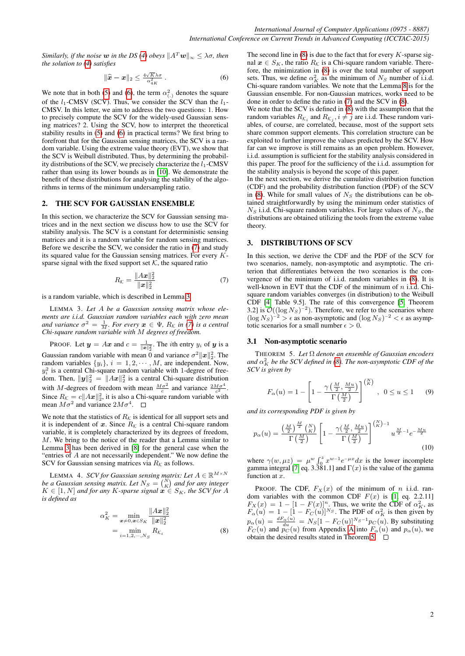*Similarly, if the noise* w *in the DS [\(4\)](#page-0-3) obeys*  $||A^T w||_{\infty} \leq \lambda \sigma$ , *then the solution to [\(4\)](#page-0-3) satisfies*

<span id="page-1-0"></span>
$$
\|\widehat{\boldsymbol{x}} - \boldsymbol{x}\|_2 \le \frac{4\sqrt{K}\lambda\sigma}{\alpha_{4K}^2} \,. \tag{6}
$$

We note that in both [\(5\)](#page-0-4) and [\(6\)](#page-1-0), the term  $\alpha_{(.)}^2$  denotes the square of the  $l_1$ -CMSV (SCV). Thus, we consider the SCV than the  $l_1$ -CMSV. In this letter, we aim to address the two questions: 1. How to precisely compute the SCV for the widely-used Gaussian sensing matrices? 2. Using the SCV, how to interpret the theoretical stability results in [\(5\)](#page-0-4) and [\(6\)](#page-1-0) in practical terms? We first bring to forefront that for the Gaussian sensing matrices, the SCV is a random variable. Using the extreme value theory (EVT), we show that the SCV is Weibull distributed. Thus, by determining the probability distributions of the SCV, we precisely characterize the  $l_1$ -CMSV rather than using its lower bounds as in [\[10\]](#page-4-0). We demonstrate the benefit of these distributions for analysing the stability of the algorithms in terms of the minimum undersampling ratio.

## 2. THE SCV FOR GAUSSIAN ENSEMBLE

In this section, we characterize the SCV for Gaussian sensing matrices and in the next section we discuss how to use the SCV for stability analysis. The SCV is a constant for deterministic sensing matrices and it is a random variable for random sensing matrices. Before we describe the SCV, we consider the ratio in [\(7\)](#page-1-1) and study its squared value for the Gaussian sensing matrices. For every Ksparse signal with the fixed support set  $K$ , the squared ratio

$$
R_{\mathcal{K}} = \frac{\|A\boldsymbol{x}\|_2^2}{\|\boldsymbol{x}\|_2^2} \tag{7}
$$

<span id="page-1-2"></span>is a random variable, which is described in Lemma [3.](#page-1-2)

LEMMA 3. *Let* A *be a Gaussian sensing matrix whose elements are i.i.d. Gaussian random variables each with zero mean and variance*  $\sigma^2 = \frac{1}{M}$ *. For every*  $x \in \Psi$ *, R<sub>K</sub> in* [\(7\)](#page-1-1) *is a central Chi-square random variable with* M *degrees of freedom.*

PROOF. Let  $y = Ax$  and  $c = \frac{1}{\|x\|_2^2}$ . The *i*th entry  $y_i$  of  $y$  is a Gaussian random variable with mean 0 and variance  $\sigma^2 ||\boldsymbol{x}||_2^2$ . The random variables  $\{y_i\}, i = 1, 2, \cdots, M$ , are independent. Now,  $y_i^2$  is a central Chi-square random variable with 1-degree of freedom. Then,  $\|\mathbf{y}\|_2^2 = \|A\mathbf{x}\|_2^2$  is a central Chi-square distribution with M-degrees of freedom with mean  $\frac{M\sigma^2}{c}$  and variance  $\frac{2M\sigma^4}{c^2}$ . Since  $R_k = c||Ax||_2^2$ , it is also a Chi-square random variable with mean  $M\sigma^2$  and variance  $2M\sigma^4$ .

We note that the statistics of  $R_K$  is identical for all support sets and it is independent of x. Since  $R_K$  is a central Chi-square random variable, it is completely characterized by its degrees of freedom, M. We bring to the notice of the reader that a Lemma similar to Lemma [3](#page-1-2) has been derived in [\[8\]](#page-4-2) for the general case when the "entries of A are not necessarily independent." We now define the SCV for Gaussian sensing matrices via  $R_K$  as follows.

LEMMA 4. *SCV for Gaussian sensing matrix: Let*  $A \in \mathbb{R}^{M \times N}$ *be a Gaussian sensing matrix. Let*  $N_S = {N \choose K}$  *and for any integer*  $K \in [1, N]$  and for any K-sparse signal  $x \in S_K$ , the SCV for A *is defined as*

<span id="page-1-3"></span>
$$
\alpha_K^2 = \min_{\mathbf{x}\neq 0, \mathbf{x}\in S_K} \frac{\|A\mathbf{x}\|_2^2}{\|\mathbf{x}\|_2^2} \n= \min_{i=1,2,\cdots,N_S} R_{\mathcal{K}_i}
$$
\n(8)

The second line in  $(8)$  is due to the fact that for every K-sparse signal  $x \in S_K$ , the ratio  $R_K$  is a Chi-square random variable. Therefore, the minimization in [\(8\)](#page-1-3) is over the total number of support sets. Thus, we define  $\alpha_K^2$  as the minimum of  $N_S$  number of i.i.d. Chi-square random variables. We note that the Lemma [8](#page-1-3) is for the Gaussian ensemble. For non-Gaussian matrices, works need to be done in order to define the ratio in [\(7\)](#page-1-1) and the SCV in [\(8\)](#page-1-3).

We note that the SCV is defined in [\(8\)](#page-1-3) with the assumption that the random variables  $R_{\mathcal{K}_i}$  and  $R_{\mathcal{K}_j}$ ,  $i \neq j$  are i.i.d. These random variables, of course, are correlated, because, most of the support sets share common support elements. This correlation structure can be exploited to further improve the values predicted by the SCV. How far can we improve is still remains as an open problem. However, i.i.d. assumption is sufficient for the stability analysis considered in this paper. The proof for the sufficiency of the i.i.d. assumption for the stability analysis is beyond the scope of this paper.

In the next section, we derive the cumulative distribution function (CDF) and the probability distribution function (PDF) of the SCV in [\(8\)](#page-1-3). While for small values of  $N<sub>S</sub>$  the distributions can be obtained straightforwardly by using the minimum order statistics of  $N<sub>S</sub>$  i.i.d. Chi-square random variables. For large values of  $N<sub>S</sub>$ , the distributions are obtained utilizing the tools from the extreme value theory.

## 3. DISTRIBUTIONS OF SCV

<span id="page-1-1"></span>In this section, we derive the CDF and the PDF of the SCV for two scenarios, namely, non-asymptotic and asymptotic. The criterion that differentiates between the two scenarios is the convergence of the minimum of i.i.d. random variables in [\(8\)](#page-1-3). It is well-known in EVT that the CDF of the minimum of  $n$  i.i.d. Chisquare random variables converges (in distribution) to the Weibull CDF [\[4,](#page-3-2) Table 9.5]. The rate of this convergence [\[5,](#page-4-3) Theorem 3.2] is  $\mathcal{O}((\log N_S)^{-2})$ . Therefore, we refer to the scenarios where  $(\log N_S)^{-2} > \epsilon$  as non-asymptotic and  $(\log N_S)^{-2} < \epsilon$  as asymptotic scenarios for a small number  $\epsilon > 0$ .

#### 3.1 Non-asymptotic scenario

<span id="page-1-4"></span>THEOREM 5. *Let* Ω *denote an ensemble of Gaussian encoders and*  $\alpha_K^2$  *be the SCV defined in [\(8\)](#page-1-3). The non-asymptotic CDF of the SCV is given by*

<span id="page-1-5"></span>
$$
F_{\alpha}(u) = 1 - \left[1 - \frac{\gamma\left(\frac{M}{2}, \frac{Mu}{2}\right)}{\Gamma\left(\frac{M}{2}\right)}\right]^{\binom{N}{K}}, \ \ 0 \le u \le 1 \qquad (9)
$$

*and its corresponding PDF is given by*

$$
p_{\alpha}(u) = \frac{\left(\frac{M}{2}\right)^{\frac{M}{2}} \binom{N}{K}}{\Gamma\left(\frac{M}{2}\right)} \left[1 - \frac{\gamma\left(\frac{M}{2}, \frac{Mu}{2}\right)}{\Gamma\left(\frac{M}{2}\right)}\right]^{\left(\frac{N}{K}\right) - 1} u^{\frac{M}{2} - 1} e^{-\frac{Mu}{2}}
$$
\n(10)

where  $\gamma(w, \mu z) = \mu^w \int_0^z x^{w-1} e^{-\mu x} dx$  is the lower incomplete gamma integral [\[7,](#page-4-4) eq. 3.381.1] and  $\Gamma(x)$  is the value of the gamma function at x.

PROOF. The CDF,  $F_X(x)$  of the minimum of n i.i.d. random variables with the common CDF  $F(x)$  is [\[1,](#page-3-3) eq. 2.2.11]  $F_X(x) = 1 - [1 - F(x)]^n$ . Thus, we write the CDF of  $\alpha_K^2$ , as  $F_{\alpha}(u) = 1 - [1 - F_C(u)]^{N_S}$ . The PDF of  $\alpha_K^2$  is then given by  $p_{\alpha}(u) = \frac{dF_{\alpha}(u)}{du} = N_S[1 - F_C(u)]^{N_S - 1} p_C(u)$ . By substituting  $F_C(u)$  and  $p_C(u)$  from [A](#page-3-4)ppendix A into  $F_\alpha(u)$  and  $p_\alpha(u)$ , we obtain the desired results stated in Theorem [5.](#page-1-4)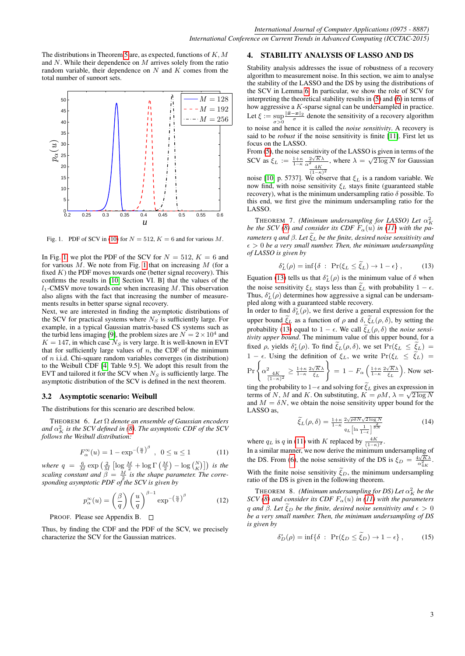The distributions in Theorem [5](#page-1-4) are, as expected, functions of  $K, M$ and  $N$ . While their dependence on  $M$  arrives solely from the ratio random variable, their dependence on  $N$  and  $K$  comes from the total number of support sets.



<span id="page-2-0"></span>Fig. 1. PDF of SCV in [\(10\)](#page-1-5) for  $N = 512$ ,  $K = 6$  and for various M.

In Fig. [1,](#page-2-0) we plot the PDF of the SCV for  $N = 512, K = 6$  and for various  $M$ . We note from Fig. [1](#page-2-0) that on increasing  $M$  (for a fixed  $K$ ) the PDF moves towards one (better signal recovery). This confirms the results in [\[10,](#page-4-0) Section VI. B] that the values of the  $l_1$ -CMSV move towards one when increasing M. This observation also aligns with the fact that increasing the number of measurements results in better sparse signal recovery.

Next, we are interested in finding the asymptotic distributions of the SCV for practical systems where  $N_S$  is sufficiently large. For example, in a typical Gaussian matrix-based CS systems such as the turbid lens imaging [\[9\]](#page-4-5), the problem sizes are  $N = 2 \times 10^4$  and  $K = 147$ , in which case  $N<sub>S</sub>$  is very large. It is well-known in EVT that for sufficiently large values of  $n$ , the CDF of the minimum of  $n$  i.i.d. Chi-square random variables converges (in distribution) to the Weibull CDF [\[4,](#page-3-2) Table 9.5]. We adopt this result from the EVT and tailored it for the SCV when  $N<sub>S</sub>$  is sufficiently large. The asymptotic distribution of the SCV is defined in the next theorem.

### 3.2 Asymptotic scenario: Weibull

The distributions for this scenario are described below.

THEOREM 6. *Let* Ω *denote an ensemble of Gaussian encoders* and  $\alpha_K^2$  is the SCV defined in [\(8\)](#page-1-3). The asymptotic CDF of the SCV *follows the Weibull distribution:*

<span id="page-2-2"></span>
$$
F_{\alpha}^{\infty}(u) = 1 - \exp^{-\left(\frac{u}{q}\right)^{\beta}}, \ \ 0 \le u \le 1 \tag{11}
$$

where  $q = \frac{6}{M} \exp \left( \frac{2}{M} \left[ \log \frac{M}{2} + \log \Gamma \left( \frac{M}{2} \right) - \log \binom{N}{K} \right] \right)$  is the *scaling constant and*  $\beta = \frac{M}{2}$  *is the shape parameter. The corre-*2 *sponding asymptotic PDF of the SCV is given by*

$$
p_{\alpha}^{\infty}(u) = \left(\frac{\beta}{q}\right) \left(\frac{u}{q}\right)^{\beta - 1} \exp^{-\left(\frac{u}{q}\right)^{\beta}}
$$
 (12)

#### PROOF. Please see Appendix B.

Thus, by finding the CDF and the PDF of the SCV, we precisely characterize the SCV for the Gaussian matrices.

## 4. STABILITY ANALYSIS OF LASSO AND DS

Stability analysis addresses the issue of robustness of a recovery algorithm to measurement noise. In this section, we aim to analyse the stability of the LASSO and the DS by using the distributions of the SCV in Lemma [6.](#page-2-1) In particular, we show the role of SCV for interpreting the theoretical stability results in [\(5\)](#page-0-4) and [\(6\)](#page-1-0) in terms of how aggressive a K-sparse signal can be undersampled in practice. Let  $\xi := \sup_{\sigma > 0} \frac{\|\hat{\mathbf{x}} - \mathbf{x}\|_2}{\sigma}$  denote the sensitivity of a recovery algorithm

to noise and hence it is called the *noise sensitivity*. A recovery is said to be *robust* if the noise sensitivity is finite [\[11\]](#page-4-6). First let us focus on the LASSO.

From [\(5\)](#page-0-4), the noise sensitivity of the LASSO is given in terms of the SCV as  $\xi_L := \frac{1+\kappa}{1-\kappa} \frac{2\sqrt{K}\lambda}{\alpha^2}$ <br> $\frac{4K}{(1-\kappa)^2}$ where  $\lambda = \sqrt{2 \log N}$  for Gaussian

noise [\[10,](#page-4-0) p. 5737]. We observe that  $\xi_L$  is a random variable. We now find, with noise sensitivity  $\xi_L$  stays finite (guaranteed stable recovery), what is the minimum undersampling ratio  $\delta$  possible. To this end, we first give the minimum undersampling ratio for the LASSO.

**THEOREM 7.** *(Minimum undersampling for LASSO) Let*  $\alpha_K^2$ *be the SCV [\(8\)](#page-1-3) and consider its CDF*  $F_{\alpha}(u)$  *in [\(11\)](#page-2-2)* with the pa*rameters* q and  $\beta$ . Let  $\tilde{\xi}_L$  be the finite, desired noise sensitivity and  $\epsilon > 0$  be a very small number. Then, the minimum undersampling *of LASSO is given by*

<span id="page-2-3"></span>
$$
\delta_L^*(\rho) = \inf \{ \delta \, : \, \Pr(\xi_L \le \tilde{\xi}_L) \to 1 - \epsilon \}, \tag{13}
$$

Equation [\(13\)](#page-2-3) tells us that  $\delta_L^*(\rho)$  is the minimum value of  $\delta$  when the noise sensitivity  $\xi_L$  stays less than  $\tilde{\xi}_L$  with probability  $1 - \epsilon$ . Thus,  $\delta_L^*(\rho)$  determines how aggressive a signal can be undersampled along with a guaranteed stable recovery.

In order to find  $\delta_L^*(\rho)$ , we first derive a general expression for the upper bound  $\tilde{\xi}_L$  as a function of  $\rho$  and  $\delta$ ,  $\tilde{\xi}_L(\rho, \delta)$ , by setting the probability [\(13\)](#page-2-3) equal to  $1 - \epsilon$ . We call  $\tilde{\xi}_L(\rho, \delta)$  the *noise sensitivity upper bound*. The minimum value of this upper bound, for a fixed  $\rho$ , yields  $\delta_L^*(\rho)$ . To find  $\xi_L(\rho, \delta)$ , we set  $Pr(\xi_L \leq \xi_L)$ 1 −  $\epsilon$ . Using the definition of  $\xi_L$ , we write Pr( $\xi_L \leq \tilde{\xi}_L$ ) =  $\Pr \Bigg\{\alpha_{\frac{4K}{(1-\kappa)^2}}^2 \geq \frac{1+\kappa}{1-\kappa} \frac{2\sqrt{K}\lambda}{\widetilde{\xi}_L}$  $\lambda$  $= 1-F_{\alpha}\left(\frac{1+\kappa}{1-\kappa}\frac{2\sqrt{K}\lambda}{\tilde{\xi}_L}\right)$ . Now set-

<span id="page-2-1"></span>ting the probability to 1– $\epsilon$  and solving for  $\xi_L$  gives an expression in terms of N, M and K. On substituting,  $K = \rho M$ ,  $\lambda = \sqrt{2 \log N}$ and  $M = \delta N$ , we obtain the noise sensitivity upper bound for the LASSO as,

$$
\widetilde{\xi}_L(\rho,\delta) = \frac{1+\kappa}{1-\kappa} \frac{2\sqrt{\rho\delta N} \sqrt{2\log N}}{q_L \left[\ln\frac{1}{1-\epsilon}\right]^{\frac{2}{\delta N}}} \tag{14}
$$

where  $q_L$  is q in [\(11\)](#page-2-2) with K replaced by  $\frac{4K}{(1-\kappa)^2}$ .

In a similar manner, we now derive the minimum undersampling of the DS. From [\(6\)](#page-1-0), the noise sensitivity of the DS is  $\xi_D = \frac{4\sqrt{K}\lambda}{\alpha_{4K}^2}$ .

With the finite noise sensitivity  $\tilde{\xi}_D$ , the minimum undersampling ratio of the DS is given in the following theorem.

**THEOREM** 8. *(Minimum undersampling for DS) Let*  $\alpha_K^2$  be the *SCV* [\(8\)](#page-1-3) and consider its CDF  $F_{\alpha}(u)$  in [\(11\)](#page-2-2) with the parameters q and  $\beta$ . Let  $\tilde{\xi}_D$  be the finite, desired noise sensitivity and  $\epsilon > 0$ *be a very small number. Then, the minimum undersampling of DS is given by*

$$
\delta_D^*(\rho) = \inf \{ \delta \; : \; \Pr(\xi_D \le \tilde{\xi}_D) \to 1 - \epsilon \}, \tag{15}
$$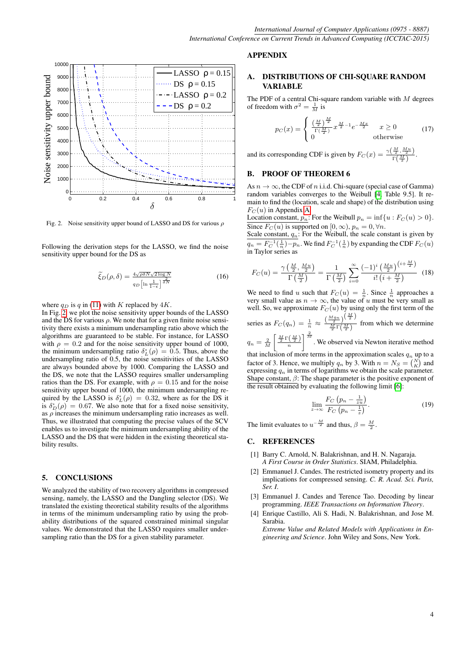

<span id="page-3-5"></span>Fig. 2. Noise sensitivity upper bound of LASSO and DS for various  $\rho$ 

Following the derivation steps for the LASSO, we find the noise sensitivity upper bound for the DS as

$$
\widetilde{\xi}_D(\rho,\delta) = \frac{4\sqrt{\rho\delta N}\sqrt{2\log N}}{q_D\left[\ln\frac{1}{1-\epsilon}\right]^{\frac{2}{\delta N}}}
$$
\n(16)

where  $q_D$  is q in [\(11\)](#page-2-2) with K replaced by  $4K$ .

In Fig. [2,](#page-3-5) we plot the noise sensitivity upper bounds of the LASSO and the DS for various  $\rho$ . We note that for a given finite noise sensitivity there exists a minimum undersampling ratio above which the algorithms are guaranteed to be stable. For instance, for LASSO with  $\rho = 0.2$  and for the noise sensitivity upper bound of 1000, the minimum undersampling ratio  $\delta_L^*(\rho) = 0.5$ . Thus, above the undersampling ratio of 0.5, the noise sensitivities of the LASSO are always bounded above by 1000. Comparing the LASSO and the DS, we note that the LASSO requires smaller undersampling ratios than the DS. For example, with  $\rho = 0.15$  and for the noise sensitivity upper bound of 1000, the minimum undersampling required by the LASSO is  $\delta_L^*(\rho) = 0.32$ , where as for the DS it is  $\delta_D^*(\rho) = 0.67$ . We also note that for a fixed noise sensitivity, as  $\rho$  increases the minimum undersampling ratio increases as well. Thus, we illustrated that computing the precise values of the SCV enables us to investigate the minimum undersampling ability of the LASSO and the DS that were hidden in the existing theoretical stability results.

#### 5. CONCLUSIONS

We analyzed the stability of two recovery algorithms in compressed sensing, namely, the LASSO and the Dangling selector (DS). We translated the existing theoretical stability results of the algorithms in terms of the minimum undersampling ratio by using the probability distributions of the squared constrained minimal singular values. We demonstrated that the LASSO requires smaller undersampling ratio than the DS for a given stability parameter.

## APPENDIX

# <span id="page-3-4"></span>A. DISTRIBUTIONS OF CHI-SQUARE RANDOM VARIABLE

The PDF of a central Chi-square random variable with  $M$  degrees of freedom with  $\sigma^2 = \frac{1}{M}$  is

$$
p_C(x) = \begin{cases} \frac{\left(\frac{M}{2}\right)^{\frac{M}{2}}}{\Gamma(\frac{M}{2})} x^{\frac{M}{2}-1} e^{-\frac{Mx}{2}} & x \ge 0\\ 0 & \text{otherwise} \end{cases}
$$
(17)

and its corresponding CDF is given by  $F_C(x) = \frac{\gamma(\frac{M}{2}, \frac{M_u}{2})}{\Gamma(M)}$  $\frac{2 \cdot 2}{\Gamma(\frac{M}{2})}$ .

# B. PROOF OF THEOREM 6

As  $n \to \infty$ , the CDF of n i.i.d. Chi-square (special case of Gamma) random variables converges to the Weibull [\[4,](#page-3-2) Table 9.5]. It remain to find the (location, scale and shape) of the distribution using  $F_C(u)$  in Appendix [A.](#page-3-4)

Location constant,  $p_n$ : For the Weibull  $p_n = \inf\{u : F_C(u) > 0\}.$ Since  $F_C(u)$  is supported on  $[0, \infty)$ ,  $p_n = 0$ ,  $\forall n$ .

Scale constant,  $q_n$ : For the Weibull, the scale constant is given by  $q_n = F_C^{-1}(\frac{1}{n}) - p_n$ . We find  $F_C^{-1}(\frac{1}{n})$  by expanding the CDF  $F_C(u)$ in Taylor series as

$$
F_C(u) = \frac{\gamma\left(\frac{M}{2}, \frac{Mu}{2}\right)}{\Gamma\left(\frac{M}{2}\right)} = \frac{1}{\Gamma\left(\frac{M}{2}\right)} \sum_{i=0}^{\infty} \frac{(-1)^i \left(\frac{Mu}{2}\right)^{(i+\frac{M}{2})}}{i! \left(i+\frac{M}{2}\right)} (18)
$$

We need to find u such that  $F_C(u) = \frac{1}{n}$ . Since  $\frac{1}{n}$  approaches a very small value as  $n \to \infty$ , the value of u must be very small as well. So, we approximate  $F_C(u)$  by using only the first term of the

series as  $F_C(q_n) = \frac{1}{n} \approx \frac{\left(\frac{Mq_n}{2}\right)^{\left(\frac{M}{2}\right)}}{\frac{M}{2}\Gamma\left(\frac{M}{2}\right)}$  $\frac{\frac{2}{M}}{\frac{M}{2}\Gamma(\frac{M}{2})}$  from which we determine  $q_n = \frac{2}{M} \left[ \frac{\frac{M}{2} \Gamma(\frac{M}{2})}{n} \right]$  $\int_{0}^{\frac{2}{M}}$ . We observed via Newton iterative method that inclusion of more terms in the approximation scales  $q_n$  up to a factor of 3. Hence, we multiply  $q_n$  by 3. With  $n = N_S = {N \choose K}$  and

expressing  $q_n$  in terms of logarithms we obtain the scale parameter. Shape constant,  $\beta$ : The shape parameter is the positive exponent of the result obtained by evaluating the following limit [\[6\]](#page-4-7):

$$
\lim_{z \to \infty} \frac{F_C \left( p_n - \frac{1}{zu} \right)}{F_C \left( p_n - \frac{1}{z} \right)}.
$$
\n(19)

The limit evaluates to  $u^{-\frac{M}{2}}$  and thus,  $\beta = \frac{M}{2}$ .

#### C. REFERENCES

- <span id="page-3-3"></span>[1] Barry C. Arnold, N. Balakrishnan, and H. N. Nagaraja. *A First Course in Order Statistics*. SIAM, Philadelphia.
- <span id="page-3-1"></span>[2] Emmanuel J. Candes. The restricted isometry property and its implications for compressed sensing. *C. R. Acad. Sci. Paris, Ser. I*.
- <span id="page-3-0"></span>[3] Emmanuel J. Candes and Terence Tao. Decoding by linear programming. *IEEE Transactions on Information Theory*.
- <span id="page-3-2"></span>[4] Enrique Castillo, Ali S. Hadi, N. Balakrishnan, and Jose M. Sarabia. *Extreme Value and Related Models with Applications in En-*

*gineering and Science*. John Wiley and Sons, New York.